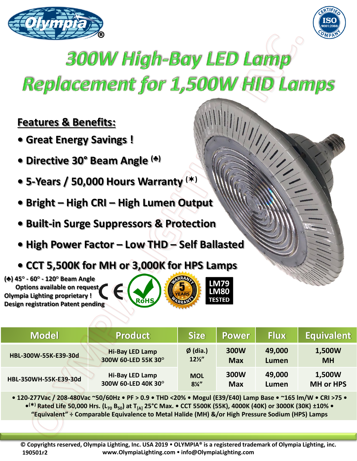



## 300W High-Bay LED Lamp Replacement for 1,500W HID Lamps

## **Features & Benefits:**

- **Great Energy Savings !**
- **Directive 30° Beam Angle (♣)**
- **5-Years / 50,000 Hours Warranty ()**
- **Bright – High CRI – High Lumen Output**
- **Built-in Surge Suppressors & Protection**
- **High Power Factor – Low THD – Self Ballasted**
- **CCT 5,500K for MH or 3,000K for HPS Lamps**

**(♣) 45° - 60° - 120° Beam Angle Options available on request Olympia Lighting proprietary ! Design registration Patent pending**





**IM79** LM80 **TESTED** 

**• 120-277Vac / 208-480Vac ~50/60Hz • PF > 0.9 • THD <20% • Mogul (E39/E40) Lamp Base • ~165 lm/W • CRI >75 • • () Rated Life 50,000 Hrs. (L<sup>70</sup> B50) at T[A] 25°C Max. • CCT 5500K (55K), 4000K (40K) or 3000K (30K) ±10% • "Equivalent" ÷ Comparable Equivalence to Metal Halide (MH) &/or High Pressure Sodium (HPS) Lamps** 

**© Copyrights reserved, Olympia Lighting, Inc. USA 2019 OLYMPIA® is a registered trademark of Olympia Lighting, inc. www.OlympiaLighting.com info@OlympiaLighting.com 190501r2**